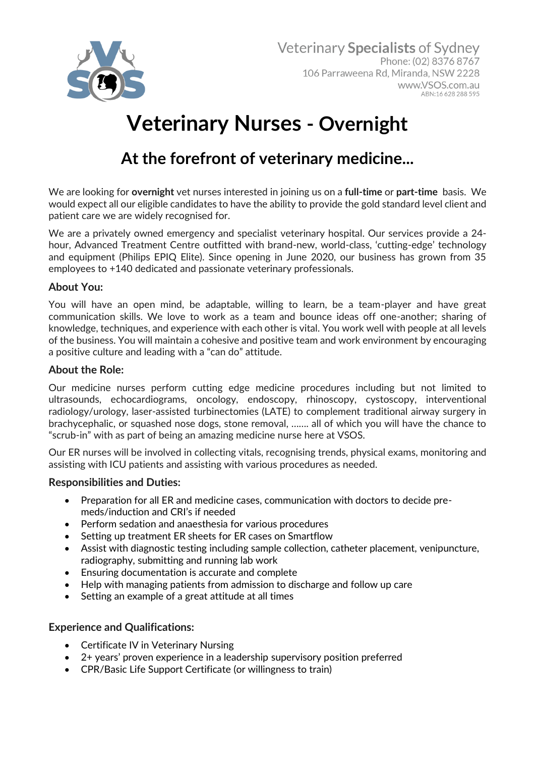

# **Veterinary Nurses - Overnight**

# **At the forefront of veterinary medicine...**

We are looking for **overnight** vet nurses interested in joining us on a **full-time** or **part-time** basis. We would expect all our eligible candidates to have the ability to provide the gold standard level client and patient care we are widely recognised for.

We are a privately owned emergency and specialist veterinary hospital. Our services provide a 24 hour, Advanced Treatment Centre outfitted with brand-new, world-class, 'cutting-edge' technology and equipment (Philips EPIQ Elite). Since opening in June 2020, our business has grown from 35 employees to +140 dedicated and passionate veterinary professionals.

# **About You:**

You will have an open mind, be adaptable, willing to learn, be a team-player and have great communication skills. We love to work as a team and bounce ideas off one-another; sharing of knowledge, techniques, and experience with each other is vital. You work well with people at all levels of the business. You will maintain a cohesive and positive team and work environment by encouraging a positive culture and leading with a "can do" attitude.

#### **About the Role:**

Our medicine nurses perform cutting edge medicine procedures including but not limited to ultrasounds, echocardiograms, oncology, endoscopy, rhinoscopy, cystoscopy, interventional radiology/urology, laser-assisted turbinectomies (LATE) to complement traditional airway surgery in brachycephalic, or squashed nose dogs, stone removal, ……. all of which you will have the chance to "scrub-in" with as part of being an amazing medicine nurse here at VSOS.

Our ER nurses will be involved in collecting vitals, recognising trends, physical exams, monitoring and assisting with ICU patients and assisting with various procedures as needed.

# **Responsibilities and Duties:**

- Preparation for all ER and medicine cases, communication with doctors to decide premeds/induction and CRI's if needed
- Perform sedation and anaesthesia for various procedures
- Setting up treatment ER sheets for ER cases on Smartflow
- Assist with diagnostic testing including sample collection, catheter placement, venipuncture, radiography, submitting and running lab work
- Ensuring documentation is accurate and complete
- Help with managing patients from admission to discharge and follow up care
- Setting an example of a great attitude at all times

# **Experience and Qualifications:**

- Certificate IV in Veterinary Nursing
- 2+ years' proven experience in a leadership supervisory position preferred
- CPR/Basic Life Support Certificate (or willingness to train)